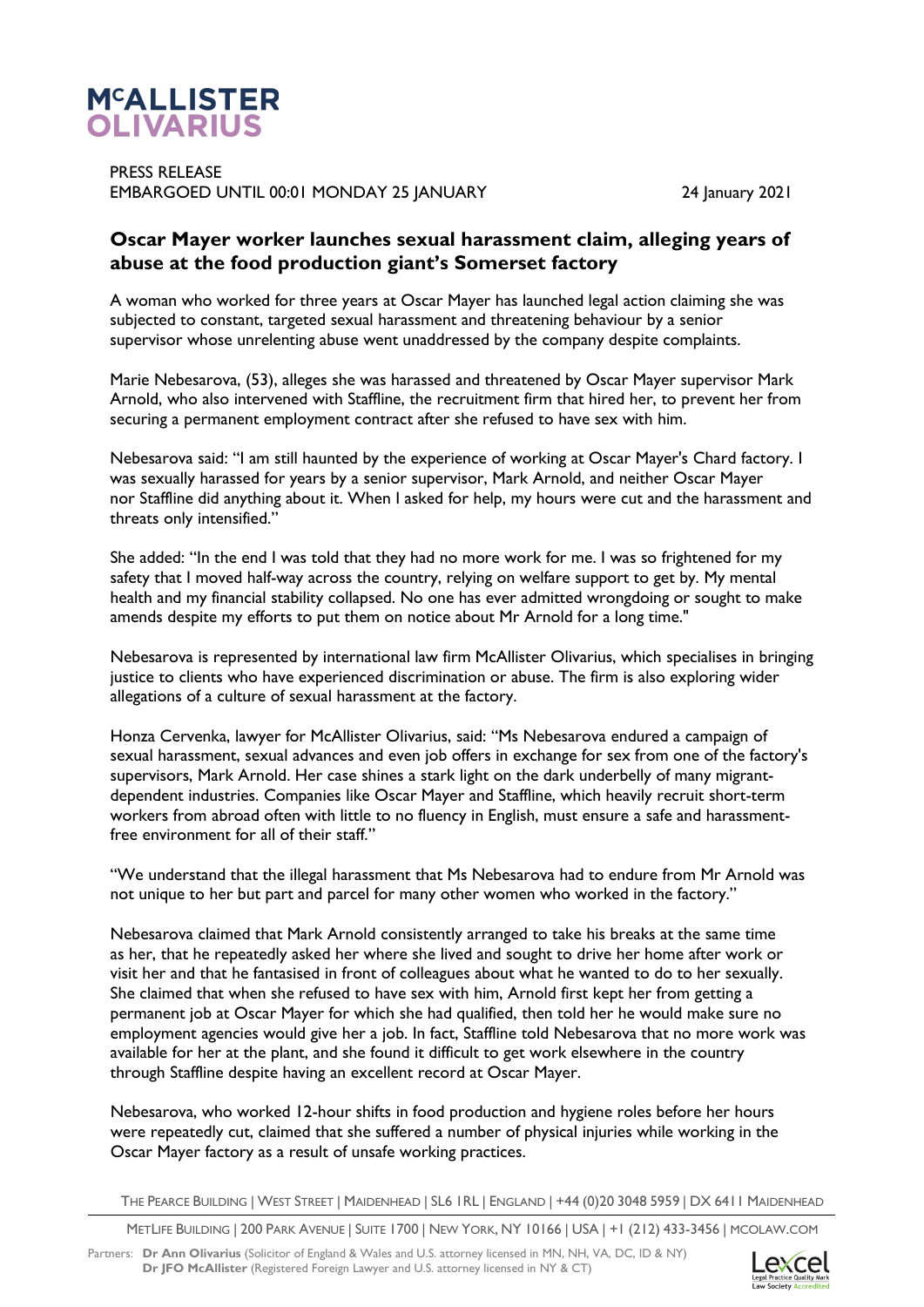

PRESS RELEASE EMBARGOED UNTIL 00:01 MONDAY 25 JANUARY 2001 24 January 2021

## **Oscar Mayer worker launches sexual harassment claim, alleging years of abuse at the food production giant's Somerset factory**

A woman who worked for three years at Oscar Mayer has launched legal action claiming she was subjected to constant, targeted sexual harassment and threatening behaviour by a senior supervisor whose unrelenting abuse went unaddressed by the company despite complaints.

Marie Nebesarova, (53), alleges she was harassed and threatened by Oscar Mayer supervisor Mark Arnold, who also intervened with Staffline, the recruitment firm that hired her, to prevent her from securing a permanent employment contract after she refused to have sex with him.

Nebesarova said: "I am still haunted by the experience of working at Oscar Mayer's Chard factory. I was sexually harassed for years by a senior supervisor, Mark Arnold, and neither Oscar Mayer nor Staffline did anything about it. When I asked for help, my hours were cut and the harassment and threats only intensified."

She added: "In the end I was told that they had no more work for me. I was so frightened for my safety that I moved half-way across the country, relying on welfare support to get by. My mental health and my financial stability collapsed. No one has ever admitted wrongdoing or sought to make amends despite my efforts to put them on notice about Mr Arnold for a long time."

Nebesarova is represented by international law firm McAllister Olivarius, which specialises in bringing justice to clients who have experienced discrimination or abuse. The firm is also exploring wider allegations of a culture of sexual harassment at the factory.

Honza Cervenka, lawyer for McAllister Olivarius, said: "Ms Nebesarova endured a campaign of sexual harassment, sexual advances and even job offers in exchange for sex from one of the factory's supervisors, Mark Arnold. Her case shines a stark light on the dark underbelly of many migrantdependent industries. Companies like Oscar Mayer and Staffline, which heavily recruit short-term workers from abroad often with little to no fluency in English, must ensure a safe and harassmentfree environment for all of their staff."

"We understand that the illegal harassment that Ms Nebesarova had to endure from Mr Arnold was not unique to her but part and parcel for many other women who worked in the factory."

Nebesarova claimed that Mark Arnold consistently arranged to take his breaks at the same time as her, that he repeatedly asked her where she lived and sought to drive her home after work or visit her and that he fantasised in front of colleagues about what he wanted to do to her sexually. She claimed that when she refused to have sex with him, Arnold first kept her from getting a permanent job at Oscar Mayer for which she had qualified, then told her he would make sure no employment agencies would give her a job. In fact, Staffline told Nebesarova that no more work was available for her at the plant, and she found it difficult to get work elsewhere in the country through Staffline despite having an excellent record at Oscar Mayer.

Nebesarova, who worked 12-hour shifts in food production and hygiene roles before her hours were repeatedly cut, claimed that she suffered a number of physical injuries while working in the Oscar Mayer factory as a result of unsafe working practices.

THE PEARCE BUILDING | WEST STREET | MAIDENHEAD | SL6 1RL | ENGLAND | +44 (0)20 3048 5959 | DX 6411 MAIDENHEAD

METLIFE BUILDING | 200 PARK AVENUE | SUITE 1700 | NEW YORK, NY 10166 | USA | +1 (212) 433-3456 | MCOLAW.COM